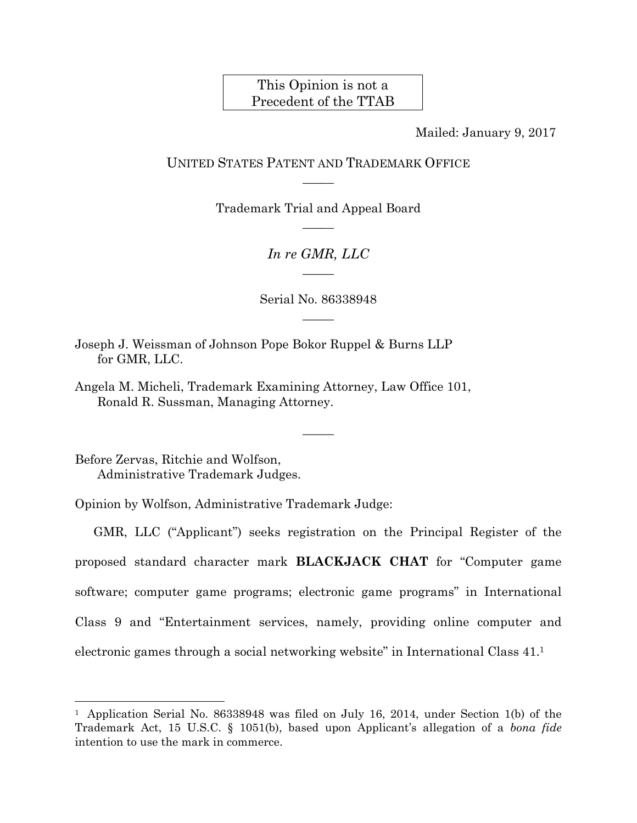## This Opinion is not a Precedent of the TTAB

Mailed: January 9, 2017

## UNITED STATES PATENT AND TRADEMARK OFFICE  $\overline{\phantom{a}}$

Trademark Trial and Appeal Board  $\overline{\phantom{a}}$ 

> *In re GMR, LLC*   $\overline{\phantom{a}}$

Serial No. 86338948  $\overline{\phantom{a}}$ 

 $\overline{\phantom{a}}$ 

Joseph J. Weissman of Johnson Pope Bokor Ruppel & Burns LLP for GMR, LLC.

Angela M. Micheli, Trademark Examining Attorney, Law Office 101, Ronald R. Sussman, Managing Attorney.

Before Zervas, Ritchie and Wolfson, Administrative Trademark Judges.

 $\overline{a}$ 

Opinion by Wolfson, Administrative Trademark Judge:

GMR, LLC ("Applicant") seeks registration on the Principal Register of the proposed standard character mark **BLACKJACK CHAT** for "Computer game software; computer game programs; electronic game programs" in International Class 9 and "Entertainment services, namely, providing online computer and electronic games through a social networking website" in International Class 41.1

<sup>&</sup>lt;sup>1</sup> Application Serial No. 86338948 was filed on July 16, 2014, under Section 1(b) of the Trademark Act, 15 U.S.C. § 1051(b), based upon Applicant's allegation of a *bona fide* intention to use the mark in commerce.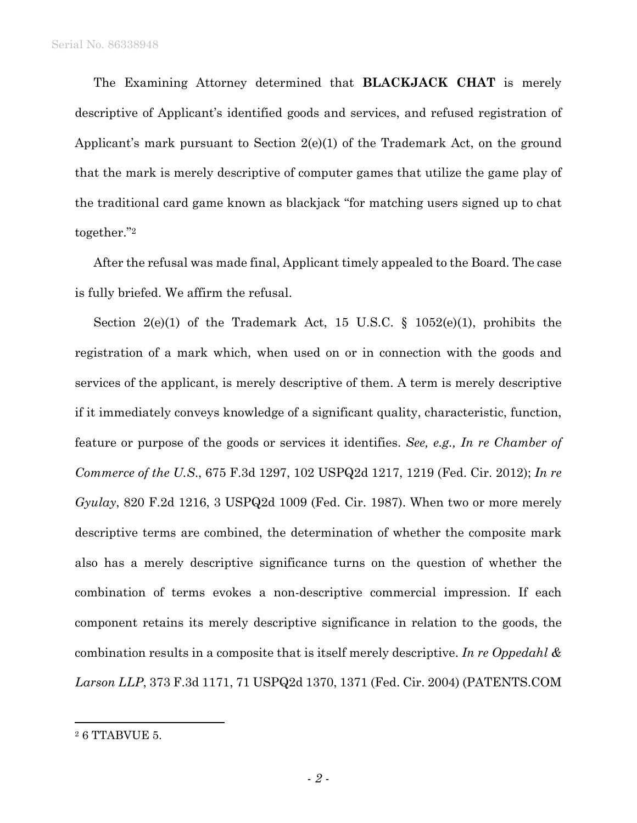The Examining Attorney determined that **BLACKJACK CHAT** is merely descriptive of Applicant's identified goods and services, and refused registration of Applicant's mark pursuant to Section 2(e)(1) of the Trademark Act, on the ground that the mark is merely descriptive of computer games that utilize the game play of the traditional card game known as blackjack "for matching users signed up to chat together."2

After the refusal was made final, Applicant timely appealed to the Board. The case is fully briefed. We affirm the refusal.

Section 2(e)(1) of the Trademark Act, 15 U.S.C.  $\S$  1052(e)(1), prohibits the registration of a mark which, when used on or in connection with the goods and services of the applicant, is merely descriptive of them. A term is merely descriptive if it immediately conveys knowledge of a significant quality, characteristic, function, feature or purpose of the goods or services it identifies. *See, e.g., In re Chamber of Commerce of the U.S*., 675 F.3d 1297, 102 USPQ2d 1217, 1219 (Fed. Cir. 2012); *In re Gyulay*, 820 F.2d 1216, 3 USPQ2d 1009 (Fed. Cir. 1987). When two or more merely descriptive terms are combined, the determination of whether the composite mark also has a merely descriptive significance turns on the question of whether the combination of terms evokes a non-descriptive commercial impression. If each component retains its merely descriptive significance in relation to the goods, the combination results in a composite that is itself merely descriptive. *In re Oppedahl & Larson LLP*, 373 F.3d 1171, 71 USPQ2d 1370, 1371 (Fed. Cir. 2004) (PATENTS.COM

 $\overline{a}$ 

<sup>2 6</sup> TTABVUE 5.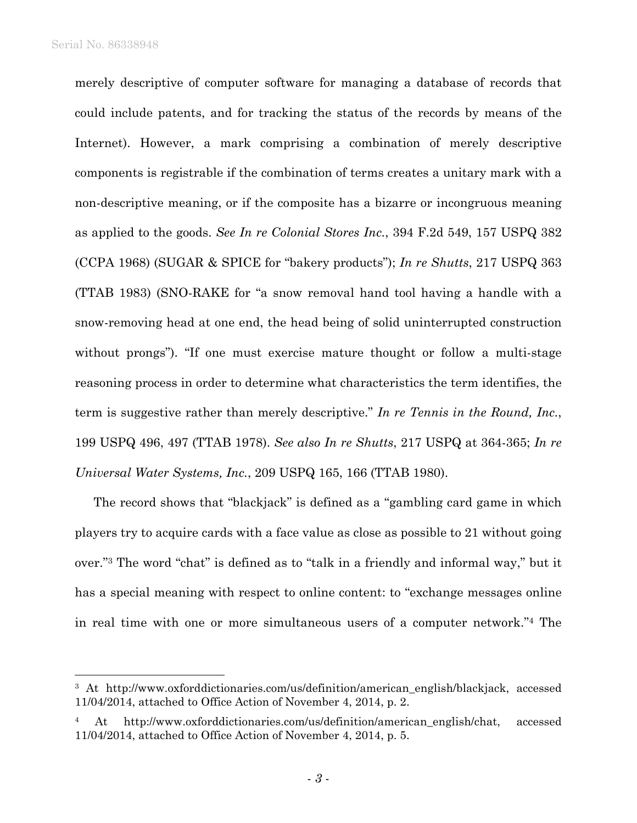1

merely descriptive of computer software for managing a database of records that could include patents, and for tracking the status of the records by means of the Internet). However, a mark comprising a combination of merely descriptive components is registrable if the combination of terms creates a unitary mark with a non-descriptive meaning, or if the composite has a bizarre or incongruous meaning as applied to the goods. *See In re Colonial Stores Inc.*, 394 F.2d 549, 157 USPQ 382 (CCPA 1968) (SUGAR & SPICE for "bakery products"); *In re Shutts*, 217 USPQ 363 (TTAB 1983) (SNO-RAKE for "a snow removal hand tool having a handle with a snow-removing head at one end, the head being of solid uninterrupted construction without prongs"). "If one must exercise mature thought or follow a multi-stage reasoning process in order to determine what characteristics the term identifies, the term is suggestive rather than merely descriptive." *In re Tennis in the Round, Inc.*, 199 USPQ 496, 497 (TTAB 1978). *See also In re Shutts*, 217 USPQ at 364-365; *In re Universal Water Systems, Inc.*, 209 USPQ 165, 166 (TTAB 1980).

The record shows that "blackjack" is defined as a "gambling card game in which players try to acquire cards with a face value as close as possible to 21 without going over."3 The word "chat" is defined as to "talk in a friendly and informal way," but it has a special meaning with respect to online content: to "exchange messages online in real time with one or more simultaneous users of a computer network."4 The

<sup>&</sup>lt;sup>3</sup> At http://www.oxforddictionaries.com/us/definition/american\_english/blackjack, accessed 11/04/2014, attached to Office Action of November 4, 2014, p. 2.

<sup>4</sup> At http://www.oxforddictionaries.com/us/definition/american\_english/chat, accessed 11/04/2014, attached to Office Action of November 4, 2014, p. 5.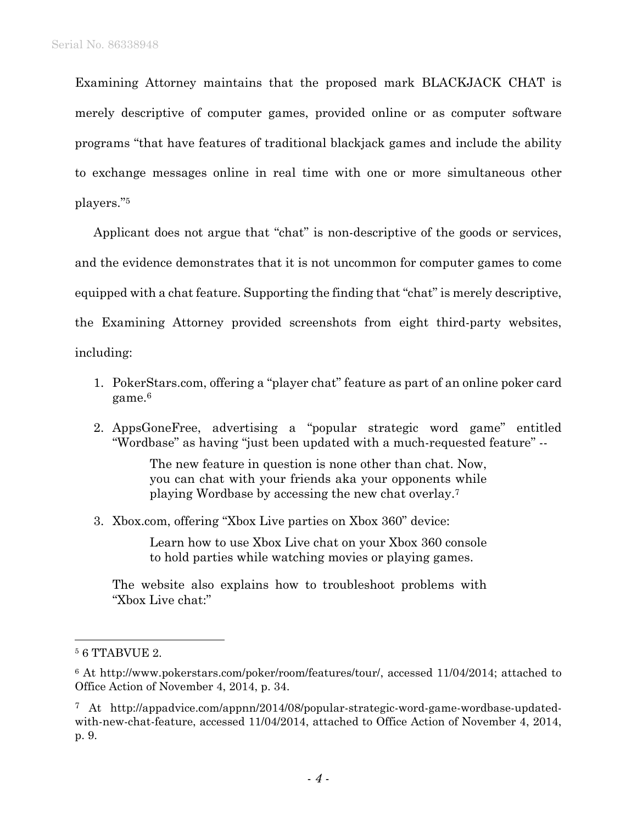Examining Attorney maintains that the proposed mark BLACKJACK CHAT is merely descriptive of computer games, provided online or as computer software programs "that have features of traditional blackjack games and include the ability to exchange messages online in real time with one or more simultaneous other players."5

Applicant does not argue that "chat" is non-descriptive of the goods or services, and the evidence demonstrates that it is not uncommon for computer games to come equipped with a chat feature. Supporting the finding that "chat" is merely descriptive, the Examining Attorney provided screenshots from eight third-party websites, including:

- 1. PokerStars.com, offering a "player chat" feature as part of an online poker card game.6
- 2. AppsGoneFree, advertising a "popular strategic word game" entitled "Wordbase" as having "just been updated with a much-requested feature" --

The new feature in question is none other than chat. Now, you can chat with your friends aka your opponents while playing Wordbase by accessing the new chat overlay.7

3. Xbox.com, offering "Xbox Live parties on Xbox 360" device:

Learn how to use Xbox Live chat on your Xbox 360 console to hold parties while watching movies or playing games.

The website also explains how to troubleshoot problems with "Xbox Live chat:"

l

<sup>5 6</sup> TTABVUE 2.

<sup>6</sup> At http://www.pokerstars.com/poker/room/features/tour/, accessed 11/04/2014; attached to Office Action of November 4, 2014, p. 34.

<sup>7</sup> At http://appadvice.com/appnn/2014/08/popular-strategic-word-game-wordbase-updatedwith-new-chat-feature, accessed 11/04/2014, attached to Office Action of November 4, 2014, p. 9.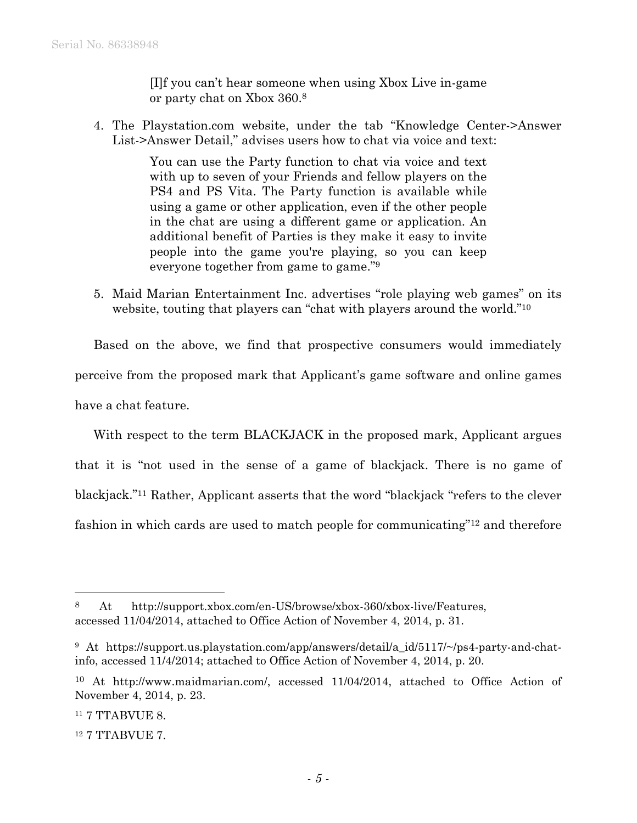[I]f you can't hear someone when using Xbox Live in-game or party chat on Xbox 360.8

4. The Playstation.com website, under the tab "Knowledge Center->Answer List->Answer Detail," advises users how to chat via voice and text:

> You can use the Party function to chat via voice and text with up to seven of your Friends and fellow players on the PS4 and PS Vita. The Party function is available while using a game or other application, even if the other people in the chat are using a different game or application. An additional benefit of Parties is they make it easy to invite people into the game you're playing, so you can keep everyone together from game to game."9

5. Maid Marian Entertainment Inc. advertises "role playing web games" on its website, touting that players can "chat with players around the world."<sup>10</sup>

Based on the above, we find that prospective consumers would immediately perceive from the proposed mark that Applicant's game software and online games have a chat feature.

With respect to the term BLACKJACK in the proposed mark, Applicant argues that it is "not used in the sense of a game of blackjack. There is no game of blackjack."11 Rather, Applicant asserts that the word "blackjack "refers to the clever fashion in which cards are used to match people for communicating"12 and therefore

1

<sup>8</sup> At http://support.xbox.com/en-US/browse/xbox-360/xbox-live/Features, accessed 11/04/2014, attached to Office Action of November 4, 2014, p. 31.

<sup>&</sup>lt;sup>9</sup> At https://support.us.playstation.com/app/answers/detail/a id/5117/~/ps4-party-and-chatinfo, accessed 11/4/2014; attached to Office Action of November 4, 2014, p. 20.

<sup>10</sup> At http://www.maidmarian.com/, accessed 11/04/2014, attached to Office Action of November 4, 2014, p. 23.

<sup>11 7</sup> TTABVUE 8.

<sup>12 7</sup> TTABVUE 7.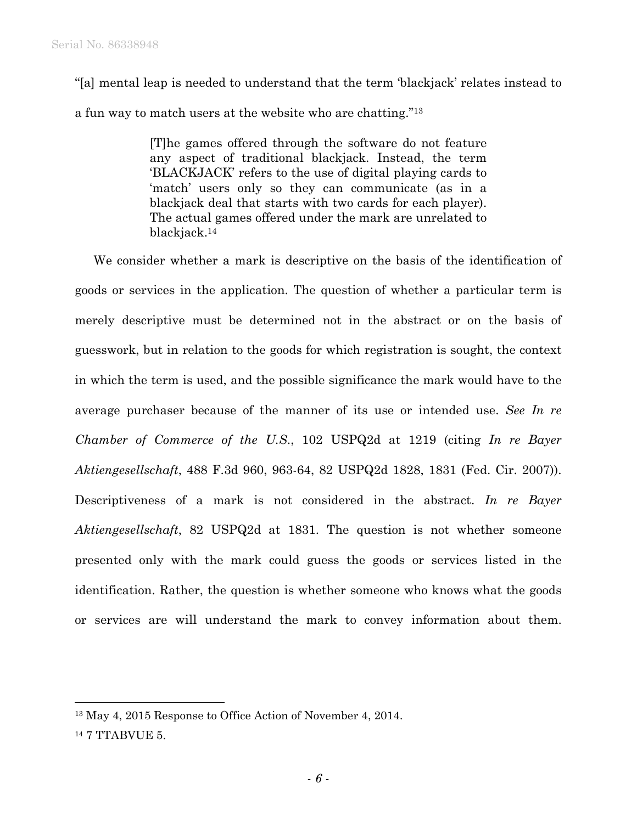"[a] mental leap is needed to understand that the term 'blackjack' relates instead to a fun way to match users at the website who are chatting."13

> [T]he games offered through the software do not feature any aspect of traditional blackjack. Instead, the term 'BLACKJACK' refers to the use of digital playing cards to 'match' users only so they can communicate (as in a blackjack deal that starts with two cards for each player). The actual games offered under the mark are unrelated to blackjack.14

We consider whether a mark is descriptive on the basis of the identification of goods or services in the application. The question of whether a particular term is merely descriptive must be determined not in the abstract or on the basis of guesswork, but in relation to the goods for which registration is sought, the context in which the term is used, and the possible significance the mark would have to the average purchaser because of the manner of its use or intended use. *See In re Chamber of Commerce of the U.S*., 102 USPQ2d at 1219 (citing *In re Bayer Aktiengesellschaft*, 488 F.3d 960, 963-64, 82 USPQ2d 1828, 1831 (Fed. Cir. 2007)). Descriptiveness of a mark is not considered in the abstract. *In re Bayer Aktiengesellschaft*, 82 USPQ2d at 1831. The question is not whether someone presented only with the mark could guess the goods or services listed in the identification. Rather, the question is whether someone who knows what the goods or services are will understand the mark to convey information about them.

 $\overline{a}$ 

<sup>13</sup> May 4, 2015 Response to Office Action of November 4, 2014.

<sup>14 7</sup> TTABVUE 5.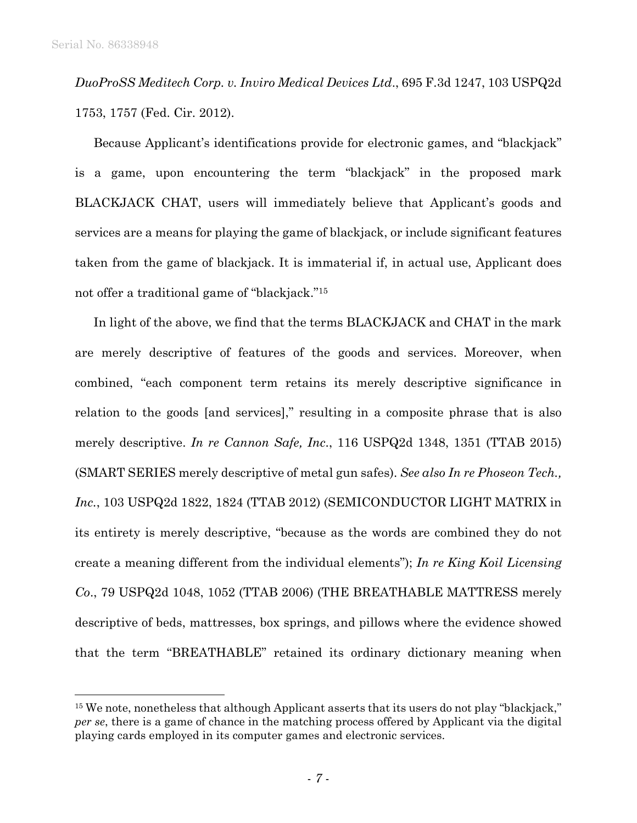l

*DuoProSS Meditech Corp. v. Inviro Medical Devices Ltd*., 695 F.3d 1247, 103 USPQ2d 1753, 1757 (Fed. Cir. 2012).

Because Applicant's identifications provide for electronic games, and "blackjack" is a game, upon encountering the term "blackjack" in the proposed mark BLACKJACK CHAT, users will immediately believe that Applicant's goods and services are a means for playing the game of blackjack, or include significant features taken from the game of blackjack. It is immaterial if, in actual use, Applicant does not offer a traditional game of "blackjack."15

In light of the above, we find that the terms BLACKJACK and CHAT in the mark are merely descriptive of features of the goods and services. Moreover, when combined, "each component term retains its merely descriptive significance in relation to the goods [and services]," resulting in a composite phrase that is also merely descriptive. *In re Cannon Safe, Inc*., 116 USPQ2d 1348, 1351 (TTAB 2015) (SMART SERIES merely descriptive of metal gun safes). *See also In re Phoseon Tech., Inc.*, 103 USPQ2d 1822, 1824 (TTAB 2012) (SEMICONDUCTOR LIGHT MATRIX in its entirety is merely descriptive, "because as the words are combined they do not create a meaning different from the individual elements"); *In re King Koil Licensing Co*., 79 USPQ2d 1048, 1052 (TTAB 2006) (THE BREATHABLE MATTRESS merely descriptive of beds, mattresses, box springs, and pillows where the evidence showed that the term "BREATHABLE" retained its ordinary dictionary meaning when

<sup>&</sup>lt;sup>15</sup> We note, nonetheless that although Applicant asserts that its users do not play "blackjack," *per se*, there is a game of chance in the matching process offered by Applicant via the digital playing cards employed in its computer games and electronic services.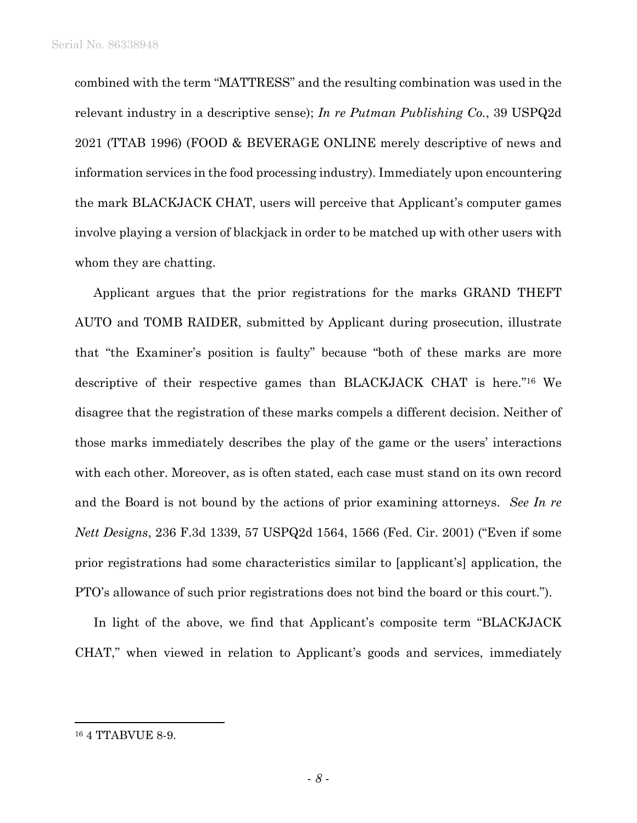combined with the term "MATTRESS" and the resulting combination was used in the relevant industry in a descriptive sense); *In re Putman Publishing Co.*, 39 USPQ2d 2021 (TTAB 1996) (FOOD & BEVERAGE ONLINE merely descriptive of news and information services in the food processing industry). Immediately upon encountering the mark BLACKJACK CHAT, users will perceive that Applicant's computer games involve playing a version of blackjack in order to be matched up with other users with whom they are chatting.

Applicant argues that the prior registrations for the marks GRAND THEFT AUTO and TOMB RAIDER, submitted by Applicant during prosecution, illustrate that "the Examiner's position is faulty" because "both of these marks are more descriptive of their respective games than BLACKJACK CHAT is here."16 We disagree that the registration of these marks compels a different decision. Neither of those marks immediately describes the play of the game or the users' interactions with each other. Moreover, as is often stated, each case must stand on its own record and the Board is not bound by the actions of prior examining attorneys. *See In re Nett Designs*, 236 F.3d 1339, 57 USPQ2d 1564, 1566 (Fed. Cir. 2001) ("Even if some prior registrations had some characteristics similar to [applicant's] application, the PTO's allowance of such prior registrations does not bind the board or this court.").

In light of the above, we find that Applicant's composite term "BLACKJACK CHAT," when viewed in relation to Applicant's goods and services, immediately

1

<sup>16 4</sup> TTABVUE 8-9.